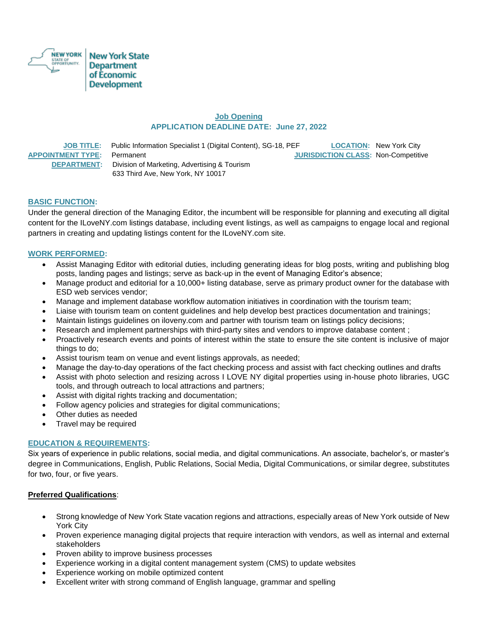

# **Job Opening APPLICATION DEADLINE DATE: June 27, 2022**

 **JOB TITLE:** Public Information Specialist 1 (Digital Content), SG-18, PEF **LOCATION:** New York City **APPOINTMENT TYPE:** Permanent **JURISDICTION CLASS:** Non-Competitive  **DEPARTMENT:** Division of Marketing, Advertising & Tourism 633 Third Ave, New York, NY 10017

## **BASIC FUNCTION:**

Under the general direction of the Managing Editor, the incumbent will be responsible for planning and executing all digital content for the ILoveNY.com listings database, including event listings, as well as campaigns to engage local and regional partners in creating and updating listings content for the ILoveNY.com site.

## **WORK PERFORMED:**

- Assist Managing Editor with editorial duties, including generating ideas for blog posts, writing and publishing blog posts, landing pages and listings; serve as back-up in the event of Managing Editor's absence;
- Manage product and editorial for a 10,000+ listing database, serve as primary product owner for the database with ESD web services vendor;
- Manage and implement database workflow automation initiatives in coordination with the tourism team;
- Liaise with tourism team on content guidelines and help develop best practices documentation and trainings;
- Maintain listings guidelines on iloveny.com and partner with tourism team on listings policy decisions;
- Research and implement partnerships with third-party sites and vendors to improve database content;
- Proactively research events and points of interest within the state to ensure the site content is inclusive of major things to do;
- Assist tourism team on venue and event listings approvals, as needed;
- Manage the day-to-day operations of the fact checking process and assist with fact checking outlines and drafts
- Assist with photo selection and resizing across I LOVE NY digital properties using in-house photo libraries, UGC tools, and through outreach to local attractions and partners;
- Assist with digital rights tracking and documentation;
- Follow agency policies and strategies for digital communications;
- Other duties as needed
- Travel may be required

## **EDUCATION & REQUIREMENTS:**

Six years of experience in public relations, social media, and digital communications. An associate, bachelor's, or master's degree in Communications, English, Public Relations, Social Media, Digital Communications, or similar degree, substitutes for two, four, or five years.

## **Preferred Qualifications**:

- Strong knowledge of New York State vacation regions and attractions, especially areas of New York outside of New York City
- Proven experience managing digital projects that require interaction with vendors, as well as internal and external stakeholders
- Proven ability to improve business processes
- Experience working in a digital content management system (CMS) to update websites
- Experience working on mobile optimized content
- Excellent writer with strong command of English language, grammar and spelling